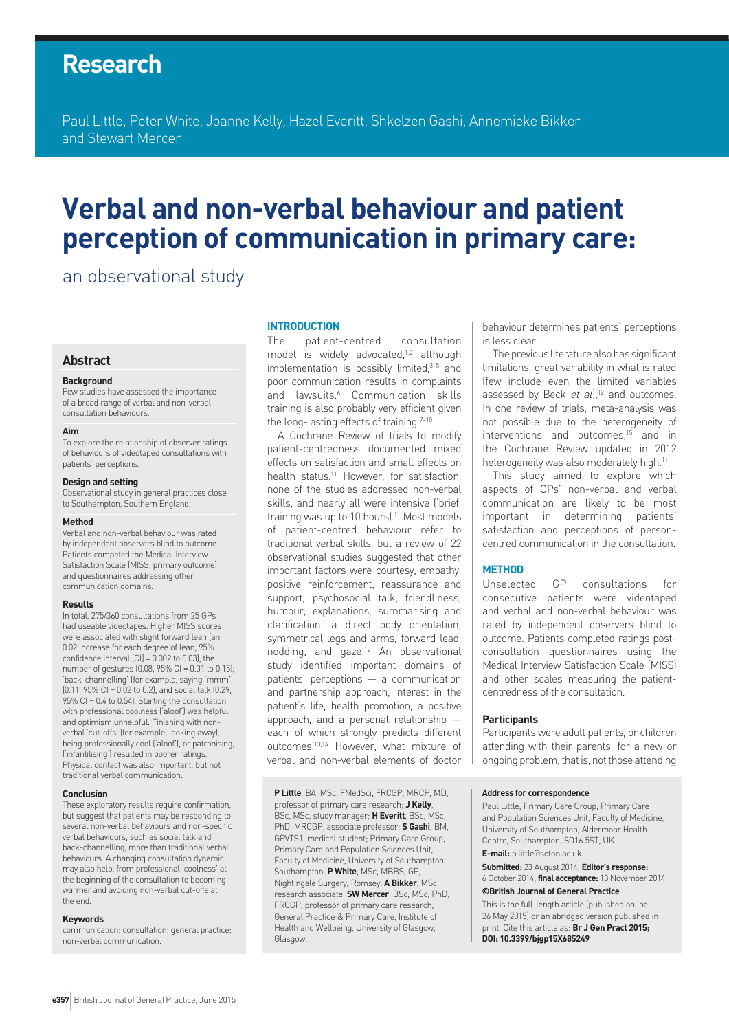# **Research**

Paul Little, Peter White, Joanne Kelly, Hazel Everitt, Shkelzen Gashi, Annemieke Bikker and Stewart Mercer

# **Verbal and non-verbal behaviour and patient perception of communication in primary care:**

# an observational study

## **Abstract**

## **Background**

Few studies have assessed the importance of a broad range of verbal and non-verbal consultation behaviours.

#### **Aim**

To explore the relationship of observer ratings of behaviours of videotaped consultations with patients' perceptions.

#### **Design and setting**

Observational study in general practices close to Southampton, Southern England.

#### **Method**

Verbal and non-verbal behaviour was rated by independent observers blind to outcome. Patients competed the Medical Interview Satisfaction Scale (MISS; primary outcome) and questionnaires addressing other communication domains.

#### **Results**

In total, 275/360 consultations from 25 GPs had useable videotapes. Higher MISS scores were associated with slight forward lean (an 0.02 increase for each degree of lean, 95% confidence interval [CI] = 0.002 to 0.03), the number of gestures (0.08, 95% CI = 0.01 to 0.15), 'back-channelling' (for example, saying 'mmm')  $(0.11, 95\% \text{ Cl} = 0.02 \text{ to } 0.2)$ , and social talk  $(0.29, 0.2)$ 95% CI = 0.4 to 0.54). Starting the consultation with professional coolness ('aloof') was helpful and optimism unhelpful. Finishing with nonverbal 'cut-offs' (for example, looking away), being professionally cool ('aloof'), or patronising, ('infantilising') resulted in poorer ratings. Physical contact was also important, but not traditional verbal communication.

#### **Conclusion**

These exploratory results require confirmation, but suggest that patients may be responding to several non-verbal behaviours and non-specific verbal behaviours, such as social talk and back-channelling, more than traditional verbal behaviours. A changing consultation dynamic may also help, from professional 'coolness' at the beginning of the consultation to becoming warmer and avoiding non-verbal cut-offs at the end.

#### **Keywords**

communication; consultation; general practice; non-verbal communication.

### **INTRODUCTION**

The patient-centred consultation model is widely advocated,<sup>1,2</sup> although implementation is possibly limited,3–5 and poor communication results in complaints and lawsuits.<sup>6</sup> Communication skills training is also probably very efficient given the long-lasting effects of training.<sup>7-10</sup>

A Cochrane Review of trials to modify patient-centredness documented mixed effects on satisfaction and small effects on health status.<sup>11</sup> However, for satisfaction, none of the studies addressed non-verbal skills, and nearly all were intensive ('brief' training was up to 10 hours).<sup>11</sup> Most models of patient-centred behaviour refer to traditional verbal skills, but a review of 22 observational studies suggested that other important factors were courtesy, empathy, positive reinforcement, reassurance and support, psychosocial talk, friendliness, humour, explanations, summarising and clarification, a direct body orientation, symmetrical legs and arms, forward lead, nodding, and gaze.12 An observational study identified important domains of patients' perceptions — a communication and partnership approach, interest in the patient's life, health promotion, a positive approach, and a personal relationship each of which strongly predicts different outcomes.13,14 However, what mixture of verbal and non-verbal elements of doctor

**P Little**, BA, MSc, FMedSci, FRCGP, MRCP, MD, professor of primary care research; **J Kelly**, BSc, MSc, study manager; **H Everitt**, BSc, MSc, PhD, MRCGP, associate professor; **S Gashi**, BM, GPVTS1, medical student; Primary Care Group, Primary Care and Population Sciences Unit, Faculty of Medicine, University of Southampton, Southampton. **P White**, MSc, MBBS, GP, Nightingale Surgery, Romsey. **A Bikker**, MSc, research associate, **SW Mercer**, BSc, MSc, PhD, FRCGP, professor of primary care research, General Practice & Primary Care, Institute of Health and Wellbeing, University of Glasgow, Glasgow.

behaviour determines patients' perceptions is less clear.

The previous literature also has significant limitations, great variability in what is rated (few include even the limited variables assessed by Beck  $et$  al),<sup>12</sup> and outcomes. In one review of trials, meta-analysis was not possible due to the heterogeneity of interventions and outcomes,15 and in the Cochrane Review updated in 2012 heterogeneity was also moderately high.<sup>11</sup>

This study aimed to explore which aspects of GPs' non-verbal and verbal communication are likely to be most important in determining patients' satisfaction and perceptions of personcentred communication in the consultation.

## **METHOD**

Unselected GP consultations for consecutive patients were videotaped and verbal and non-verbal behaviour was rated by independent observers blind to outcome. Patients completed ratings postconsultation questionnaires using the Medical Interview Satisfaction Scale (MISS) and other scales measuring the patientcentredness of the consultation.

## **Participants**

Participants were adult patients, or children attending with their parents, for a new or ongoing problem, that is, not those attending

#### **Address for correspondence**

Paul Little, Primary Care Group, Primary Care and Population Sciences Unit, Faculty of Medicine, University of Southampton, Aldermoor Health Centre, Southampton, SO16 5ST, UK.

**E-mail:** p.little@soton.ac.uk

**Submitted:** 23 August 2014; **Editor's response:** 6 October 2014; **final acceptance:** 13 November 2014.

## **©British Journal of General Practice**

This is the full-length article (published online 26 May 2015) or an abridged version published in print. Cite this article as: **Br J Gen Pract 2015; DOI: 10.3399/bjgp15X685249**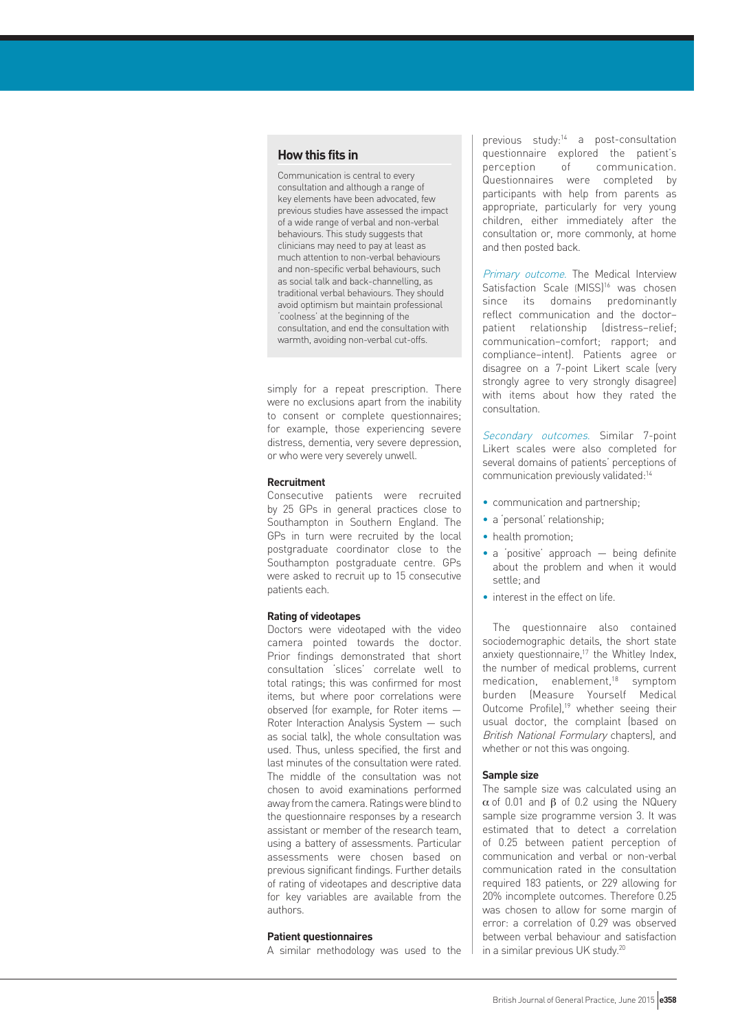## **How this fits in**

Communication is central to every consultation and although a range of key elements have been advocated, few previous studies have assessed the impact of a wide range of verbal and non-verbal behaviours. This study suggests that clinicians may need to pay at least as much attention to non-verbal behaviours and non-specific verbal behaviours, such as social talk and back-channelling, as traditional verbal behaviours. They should avoid optimism but maintain professional 'coolness' at the beginning of the consultation, and end the consultation with warmth, avoiding non-verbal cut-offs.

simply for a repeat prescription. There were no exclusions apart from the inability to consent or complete questionnaires; for example, those experiencing severe distress, dementia, very severe depression, or who were very severely unwell.

## **Recruitment**

Consecutive patients were recruited by 25 GPs in general practices close to Southampton in Southern England. The GPs in turn were recruited by the local postgraduate coordinator close to the Southampton postgraduate centre. GPs were asked to recruit up to 15 consecutive patients each.

### **Rating of videotapes**

Doctors were videotaped with the video camera pointed towards the doctor. Prior findings demonstrated that short consultation 'slices' correlate well to total ratings; this was confirmed for most items, but where poor correlations were observed (for example, for Roter items — Roter Interaction Analysis System — such as social talk), the whole consultation was used. Thus, unless specified, the first and last minutes of the consultation were rated. The middle of the consultation was not chosen to avoid examinations performed away from the camera. Ratings were blind to the questionnaire responses by a research assistant or member of the research team, using a battery of assessments. Particular assessments were chosen based on previous significant findings. Further details of rating of videotapes and descriptive data for key variables are available from the authors.

## **Patient questionnaires**

A similar methodology was used to the

previous study:14 a post-consultation questionnaire explored the patient's perception of communication. Questionnaires were completed by participants with help from parents as appropriate, particularly for very young children, either immediately after the consultation or, more commonly, at home and then posted back.

Primary outcome. The Medical Interview Satisfaction Scale (MISS)<sup>16</sup> was chosen since its domains predominantly reflect communication and the doctor– patient relationship (distress–relief; communication–comfort; rapport; and compliance–intent). Patients agree or disagree on a 7-point Likert scale (very strongly agree to very strongly disagree) with items about how they rated the consultation.

Secondary outcomes. Similar 7-point Likert scales were also completed for several domains of patients' perceptions of communication previously validated:14

- communication and partnership;
- a 'personal' relationship;
- health promotion;
- a 'positive' approach being definite about the problem and when it would settle; and
- interest in the effect on life.

The questionnaire also contained sociodemographic details, the short state anxiety questionnaire,<sup>17</sup> the Whitley Index, the number of medical problems, current medication, enablement,18 symptom burden (Measure Yourself Medical Outcome Profile),19 whether seeing their usual doctor, the complaint (based on British National Formulary chapters), and whether or not this was ongoing.

## **Sample size**

The sample size was calculated using an  $\alpha$  of 0.01 and  $\beta$  of 0.2 using the NQuery sample size programme version 3. It was estimated that to detect a correlation of 0.25 between patient perception of communication and verbal or non-verbal communication rated in the consultation required 183 patients, or 229 allowing for 20% incomplete outcomes. Therefore 0.25 was chosen to allow for some margin of error: a correlation of 0.29 was observed between verbal behaviour and satisfaction in a similar previous UK study.20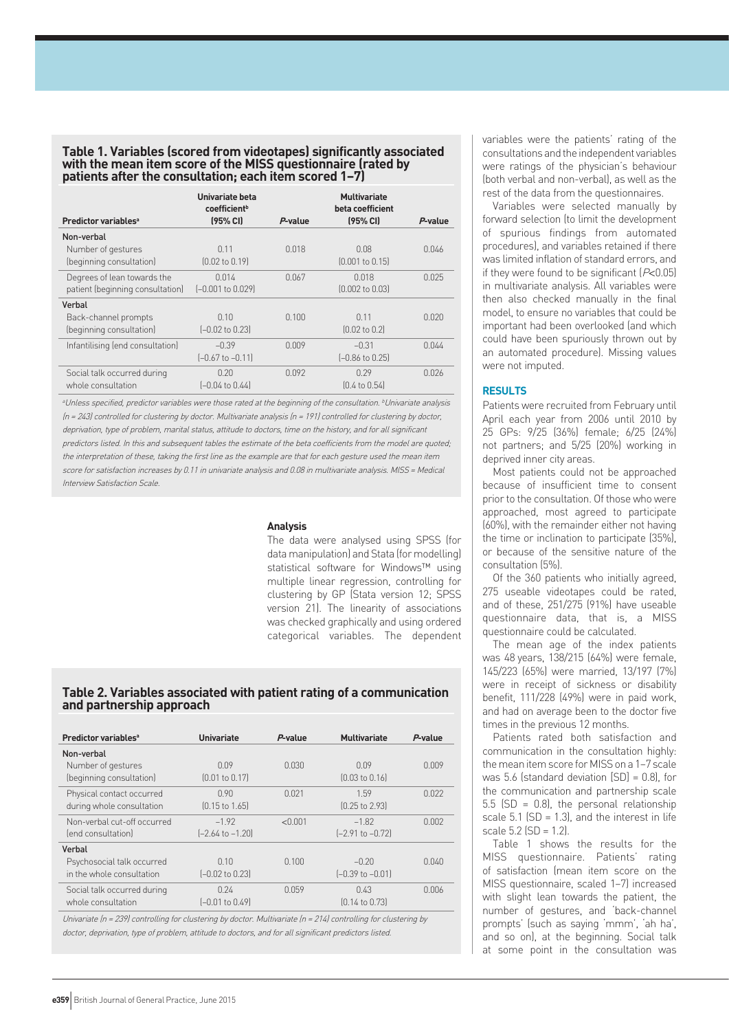## **Table 1. Variables (scored from videotapes) significantly associated with the mean item score of the MISS questionnaire (rated by patients after the consultation; each item scored 1–7)**

| Predictor variables <sup>a</sup>                                | Univariate beta<br>coefficient <sup>b</sup><br>$(95%$ CI) | P-value | <b>Multivariate</b><br>beta coefficient<br>(95% CI) | P-value |
|-----------------------------------------------------------------|-----------------------------------------------------------|---------|-----------------------------------------------------|---------|
| Non-verbal                                                      |                                                           |         |                                                     |         |
| Number of gestures<br>(beginning consultation)                  | 0.11<br>[0.02 to 0.19]                                    | 0.018   | 0.08<br>[0.001 to 0.15]                             | 0.046   |
| Degrees of lean towards the<br>patient (beginning consultation) | 0.014<br>$[-0.001$ to $0.029]$                            | 0.067   | 0.018<br>[0.002 to 0.03]                            | 0.025   |
| Verbal                                                          |                                                           |         |                                                     |         |
| Back-channel prompts<br>(beginning consultation)                | 0.10<br>$[-0.02 \text{ to } 0.23]$                        | 0.100   | 0.11<br>$[0.02 \text{ to } 0.2]$                    | 0.020   |
| Infantilising (end consultation)                                | $-0.39$<br>$[-0.67 \text{ to } -0.11]$                    | 0.009   | $-0.31$<br>$[-0.86 \text{ to } 0.25]$               | 0.044   |
| Social talk occurred during<br>whole consultation               | 0.20<br>$[-0.04 \text{ to } 0.44]$                        | 0.092   | 0.29<br>$[0.4 \text{ to } 0.54]$                    | 0.026   |

<sup>a</sup>Unless specified, predictor variables were those rated at the beginning of the consultation. <sup>b</sup>Univariate analysis  $(n = 243)$  controlled for clustering by doctor. Multivariate analysis  $(n = 191)$  controlled for clustering by doctor, deprivation, type of problem, marital status, attitude to doctors, time on the history, and for all significant predictors listed. In this and subsequent tables the estimate of the beta coefficients from the model are quoted; the interpretation of these, taking the first line as the example are that for each gesture used the mean item score for satisfaction increases by 0.11 in univariate analysis and 0.08 in multivariate analysis. MISS = Medical Interview Satisfaction Scale.

## **Analysis**

The data were analysed using SPSS (for data manipulation) and Stata (for modelling) statistical software for Windows™ using multiple linear regression, controlling for clustering by GP (Stata version 12; SPSS version 21). The linearity of associations was checked graphically and using ordered categorical variables. The dependent

## **Table 2. Variables associated with patient rating of a communication and partnership approach**

| Predictor variables <sup>a</sup> | <b>Univariate</b>           | P-value     | <b>Multivariate</b>         | P-value |
|----------------------------------|-----------------------------|-------------|-----------------------------|---------|
| Non-verbal                       |                             |             |                             |         |
| Number of gestures               | 0.09                        | 0.030       | 0.09                        | 0.009   |
| (beginning consultation)         | [0.01 to 0.17]              |             | $[0.03 \text{ to } 0.16]$   |         |
| Physical contact occurred        | 0.90                        | 0.021       | 1.59                        | 0.022   |
| during whole consultation        | $[0.15 \text{ to } 1.65]$   |             | [0.25 to 2.93]              |         |
| Non-verbal cut-off occurred      | $-192$                      | $<$ 0 0 0 1 | $-1.82$                     | 0.002   |
| lend consultation)               | $[-2.64 \text{ to } -1.20]$ |             | $[-2.91 \text{ to } -0.72]$ |         |
| Verhal                           |                             |             |                             |         |
| Psychosocial talk occurred       | 0.10                        | 0.100       | $-0.20$                     | 0.040   |
| in the whole consultation        | (-0.02 to 0.23)             |             | $[-0.39 \text{ to } -0.01]$ |         |
| Social talk occurred during      | 0.24                        | 0.059       | 043                         | 0.006   |
| whole consultation               | $[-0.01 \text{ to } 0.49]$  |             | $[0.14 \text{ to } 0.73]$   |         |

Univariate (n = 239) controlling for clustering by doctor. Multivariate (n = 214) controlling for clustering by doctor, deprivation, type of problem, attitude to doctors, and for all significant predictors listed.

variables were the patients' rating of the consultations and the independent variables were ratings of the physician's behaviour (both verbal and non-verbal), as well as the rest of the data from the questionnaires.

Variables were selected manually by forward selection (to limit the development of spurious findings from automated procedures), and variables retained if there was limited inflation of standard errors, and if they were found to be significant  $[P<0.05]$ in multivariate analysis. All variables were then also checked manually in the final model, to ensure no variables that could be important had been overlooked (and which could have been spuriously thrown out by an automated procedure). Missing values were not imputed.

## **RESULTS**

Patients were recruited from February until April each year from 2006 until 2010 by 25 GPs: 9/25 (36%) female; 6/25 (24%) not partners; and 5/25 (20%) working in deprived inner city areas.

Most patients could not be approached because of insufficient time to consent prior to the consultation. Of those who were approached, most agreed to participate (60%), with the remainder either not having the time or inclination to participate (35%), or because of the sensitive nature of the consultation (5%).

Of the 360 patients who initially agreed, 275 useable videotapes could be rated, and of these, 251/275 (91%) have useable questionnaire data, that is, a MISS questionnaire could be calculated.

The mean age of the index patients was 48 years, 138/215 (64%) were female, 145/223 (65%) were married, 13/197 (7%) were in receipt of sickness or disability benefit, 111/228 (49%) were in paid work, and had on average been to the doctor five times in the previous 12 months.

Patients rated both satisfaction and communication in the consultation highly: the mean item score for MISS on a 1–7 scale was 5.6 (standard deviation [SD] = 0.8), for the communication and partnership scale 5.5  $(SD = 0.8)$ , the personal relationship scale  $5.1$  (SD = 1.3), and the interest in life scale 5.2 (SD = 1.2).

Table 1 shows the results for the MISS questionnaire. Patients' rating of satisfaction (mean item score on the MISS questionnaire, scaled 1–7) increased with slight lean towards the patient, the number of gestures, and 'back-channel prompts' (such as saying 'mmm', 'ah ha', and so on), at the beginning. Social talk at some point in the consultation was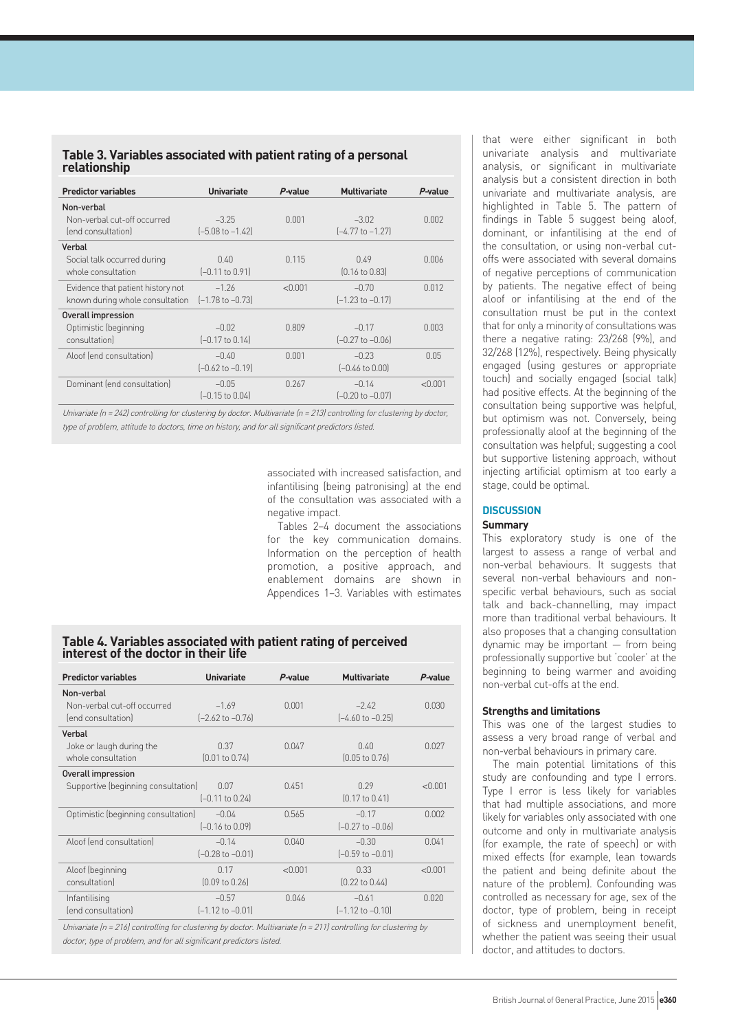## **Table 3. Variables associated with patient rating of a personal relationship**

| <b>Predictor variables</b>        | <b>Univariate</b>           | $P$ -value | <b>Multivariate</b>         | $P$ -value |
|-----------------------------------|-----------------------------|------------|-----------------------------|------------|
| Non-verbal                        |                             |            |                             |            |
| Non-verbal cut-off occurred       | $-3.25$                     | 0.001      | $-3.02$                     | 0.002      |
| lend consultation                 | $[-5.08 \text{ to } -1.42]$ |            | $[-4.77$ to $-1.27]$        |            |
| Verbal                            |                             |            |                             |            |
| Social talk occurred during       | 040                         | 0.115      | 049                         | 0.006      |
| whole consultation                | $[-0.11 \text{ to } 0.91]$  |            | $[0.16 \text{ to } 0.83]$   |            |
| Evidence that patient history not | $-1.26$                     | < 0.001    | $-0.70$                     | 0.012      |
| known during whole consultation   | $[-1.78 \text{ to } -0.73]$ |            | $[-1.23 \text{ to } -0.17]$ |            |
| Overall impression                |                             |            |                             |            |
| Optimistic (beginning             | $-0.02$                     | 0.809      | $-0.17$                     | 0.003      |
| consultation                      | $[-0.17 \text{ to } 0.14]$  |            | $[-0.27$ to $-0.06]$        |            |
| Aloof lend consultation           | $-0.40$                     | 0.001      | $-0.23$                     | 0.05       |
|                                   | $[-0.62 \text{ to } -0.19]$ |            | $[-0.46 \text{ to } 0.00]$  |            |
| Dominant lend consultation        | $-0.05$                     | 0.267      | $-0.14$                     | < 0.001    |
|                                   | $[-0.15 \text{ to } 0.04]$  |            | $[-0.20 \text{ to } -0.07]$ |            |

Univariate (n = 242) controlling for clustering by doctor. Multivariate (n = 213) controlling for clustering by doctor, type of problem, attitude to doctors, time on history, and for all significant predictors listed.

> associated with increased satisfaction, and infantilising (being patronising) at the end of the consultation was associated with a negative impact.

> Tables 2–4 document the associations for the key communication domains. Information on the perception of health promotion, a positive approach, and enablement domains are shown in Appendices 1–3. Variables with estimates

## **Table 4. Variables associated with patient rating of perceived interest of the doctor in their life**

| <b>Predictor variables</b>          | <b>Univariate</b>           | $P$ -value | <b>Multivariate</b>         | P-value |
|-------------------------------------|-----------------------------|------------|-----------------------------|---------|
| Non-verbal                          |                             |            |                             |         |
| Non-verbal cut-off occurred         | $-1.69$                     | 0.001      | $-2.42$                     | 0.030   |
| (end consultation)                  | $[-2.62 \text{ to } -0.76]$ |            | $[-4.60 \text{ to } -0.25]$ |         |
| Verbal                              |                             |            |                             |         |
| Joke or laugh during the            | 0.37                        | 0.047      | 040                         | 0.027   |
| whole consultation                  | $(0.01 \text{ to } 0.74)$   |            | $[0.05 \text{ to } 0.76]$   |         |
| Overall impression                  |                             |            |                             |         |
| Supportive (beginning consultation) | 0.07                        | 0.451      | 0.29                        | < 0.001 |
|                                     | $[-0.11$ to $0.24]$         |            | $[0.17 \text{ to } 0.41]$   |         |
| Optimistic (beginning consultation) | $-0.04$                     | 0.565      | $-0.17$                     | 0.002   |
|                                     | $[-0.16 \text{ to } 0.09]$  |            | $[-0.27$ to $-0.06]$        |         |
| Aloof (end consultation)            | $-0.14$                     | 0.040      | $-0.30$                     | 0.041   |
|                                     | $[-0.28 \text{ to } -0.01]$ |            | $[-0.59 \text{ to } -0.01]$ |         |
| Aloof (beginning                    | 0.17                        | < 0.001    | 0.33                        | < 0.001 |
| consultation                        | $[0.09 \text{ to } 0.26]$   |            | $[0.22$ to $0.44]$          |         |
| Infantilising                       | $-0.57$                     | 0.046      | $-0.61$                     | 0.020   |
| lend consultation)                  | $[-1.12 \text{ to } -0.01]$ |            | $[-1.12 \text{ to } -0.10]$ |         |

Univariate (n = 216) controlling for clustering by doctor. Multivariate (n = 211) controlling for clustering by doctor, type of problem, and for all significant predictors listed.

that were either significant in both univariate analysis and multivariate analysis, or significant in multivariate analysis but a consistent direction in both univariate and multivariate analysis, are highlighted in Table 5. The pattern of findings in Table 5 suggest being aloof, dominant, or infantilising at the end of the consultation, or using non-verbal cutoffs were associated with several domains of negative perceptions of communication by patients. The negative effect of being aloof or infantilising at the end of the consultation must be put in the context that for only a minority of consultations was there a negative rating: 23/268 (9%), and 32/268 (12%), respectively. Being physically engaged (using gestures or appropriate touch) and socially engaged (social talk) had positive effects. At the beginning of the consultation being supportive was helpful, but optimism was not. Conversely, being professionally aloof at the beginning of the consultation was helpful; suggesting a cool but supportive listening approach, without injecting artificial optimism at too early a stage, could be optimal.

## **DISCUSSION**

## **Summary**

This exploratory study is one of the largest to assess a range of verbal and non-verbal behaviours. It suggests that several non-verbal behaviours and nonspecific verbal behaviours, such as social talk and back-channelling, may impact more than traditional verbal behaviours. It also proposes that a changing consultation dynamic may be important — from being professionally supportive but 'cooler' at the beginning to being warmer and avoiding non-verbal cut-offs at the end.

## **Strengths and limitations**

This was one of the largest studies to assess a very broad range of verbal and non-verbal behaviours in primary care.

The main potential limitations of this study are confounding and type I errors. Type I error is less likely for variables that had multiple associations, and more likely for variables only associated with one outcome and only in multivariate analysis (for example, the rate of speech) or with mixed effects (for example, lean towards the patient and being definite about the nature of the problem). Confounding was controlled as necessary for age, sex of the doctor, type of problem, being in receipt of sickness and unemployment benefit, whether the patient was seeing their usual doctor, and attitudes to doctors.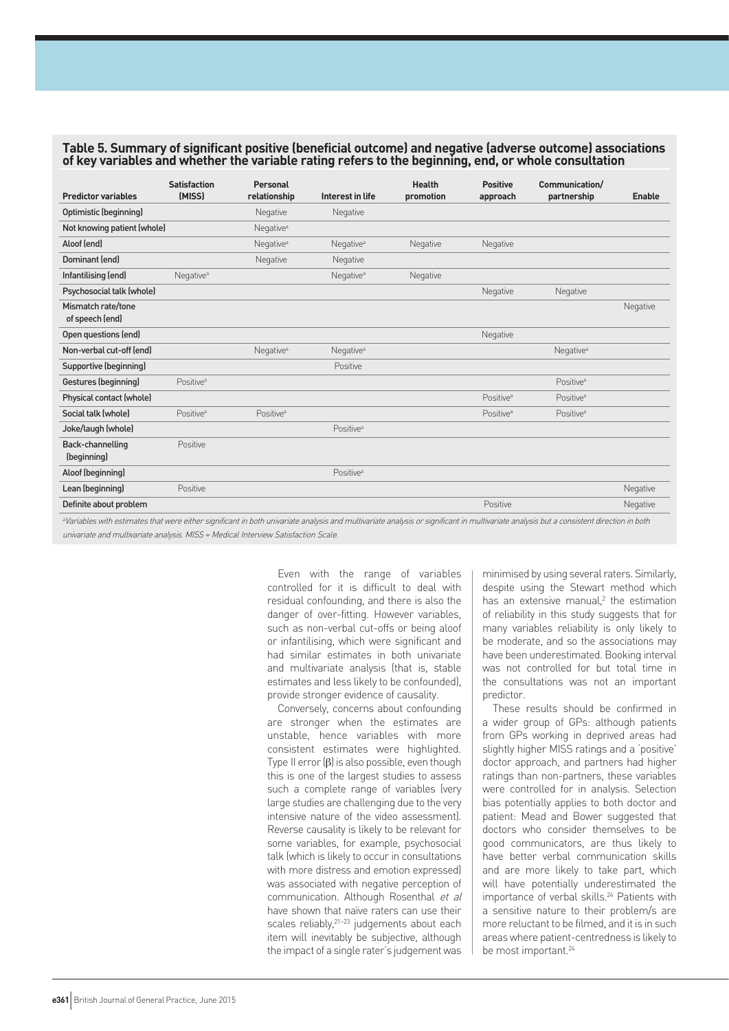## **Table 5. Summary of significant positive (beneficial outcome) and negative (adverse outcome) associations of key variables and whether the variable rating refers to the beginning, end, or whole consultation**

|                                       | <b>Satisfaction</b>   | <b>Personal</b>                                                                                                 |                                                                                       | <b>Health</b>                 | <b>Positive</b>       | Communication/        |                                                                                                                                                                                                                                        |
|---------------------------------------|-----------------------|-----------------------------------------------------------------------------------------------------------------|---------------------------------------------------------------------------------------|-------------------------------|-----------------------|-----------------------|----------------------------------------------------------------------------------------------------------------------------------------------------------------------------------------------------------------------------------------|
| <b>Predictor variables</b>            | (MISS)                | relationship                                                                                                    | Interest in life                                                                      | promotion                     | approach              | partnership           | <b>Enable</b>                                                                                                                                                                                                                          |
| Optimistic (beginning)                |                       | Negative                                                                                                        | Negative                                                                              |                               |                       |                       |                                                                                                                                                                                                                                        |
| Not knowing patient (whole)           |                       | Negative <sup>a</sup>                                                                                           |                                                                                       |                               |                       |                       |                                                                                                                                                                                                                                        |
| Aloof (end)                           |                       | Negative <sup>a</sup>                                                                                           | Negative <sup>a</sup>                                                                 | Negative                      | Negative              |                       |                                                                                                                                                                                                                                        |
| Dominant (end)                        |                       | Negative                                                                                                        | Negative                                                                              |                               |                       |                       |                                                                                                                                                                                                                                        |
| Infantilising (end)                   | Negative <sup>a</sup> |                                                                                                                 | Negative <sup>a</sup>                                                                 | Negative                      |                       |                       |                                                                                                                                                                                                                                        |
| Psychosocial talk (whole)             |                       |                                                                                                                 |                                                                                       |                               | Negative              | Negative              |                                                                                                                                                                                                                                        |
| Mismatch rate/tone<br>of speech (end) |                       |                                                                                                                 |                                                                                       |                               |                       |                       | Negative                                                                                                                                                                                                                               |
| Open questions (end)                  |                       |                                                                                                                 |                                                                                       |                               | Negative              |                       |                                                                                                                                                                                                                                        |
| Non-verbal cut-off (end)              |                       | Negative <sup>a</sup>                                                                                           | Negative <sup>a</sup>                                                                 |                               |                       | Negative <sup>a</sup> |                                                                                                                                                                                                                                        |
| Supportive (beginning)                |                       |                                                                                                                 | Positive                                                                              |                               |                       |                       |                                                                                                                                                                                                                                        |
| Gestures (beginning)                  | Positive <sup>a</sup> |                                                                                                                 |                                                                                       |                               |                       | Positive <sup>a</sup> |                                                                                                                                                                                                                                        |
| Physical contact (whole)              |                       |                                                                                                                 |                                                                                       |                               | Positive <sup>a</sup> | Positive <sup>a</sup> |                                                                                                                                                                                                                                        |
| Social talk (whole)                   | Positive <sup>a</sup> | Positive <sup>a</sup>                                                                                           |                                                                                       |                               | Positive <sup>a</sup> | Positive <sup>a</sup> |                                                                                                                                                                                                                                        |
| Joke/laugh (whole)                    |                       |                                                                                                                 | Positive <sup>a</sup>                                                                 |                               |                       |                       |                                                                                                                                                                                                                                        |
| Back-channelling<br>(beginning)       | Positive              |                                                                                                                 |                                                                                       |                               |                       |                       |                                                                                                                                                                                                                                        |
| Aloof (beginning)                     |                       |                                                                                                                 | Positive <sup>a</sup>                                                                 |                               |                       |                       |                                                                                                                                                                                                                                        |
| Lean (beginning)                      | Positive              |                                                                                                                 |                                                                                       |                               |                       |                       | Negative                                                                                                                                                                                                                               |
| Definite about problem                |                       |                                                                                                                 |                                                                                       |                               | Positive              |                       | Negative                                                                                                                                                                                                                               |
|                                       |                       | the contract of the contract of the contract of the contract of the contract of the contract of the contract of | $\mathbf{r} = \mathbf{r}$ and $\mathbf{r} = \mathbf{r}$ and $\mathbf{r} = \mathbf{r}$ | the state of the state of the | $\mathbf{z}$          | $\cdots$              | $\mathcal{F}$ and $\mathcal{F}$ are assumed to the set of the set of the set of the set of the set of the set of the set of the set of the set of the set of the set of the set of the set of the set of the set of the set of the set |

Variables with estimates that were either significant in both univariate analysis and multivariate analysis ar significant in multivariate analysis but a consistent direction in both univariate and multivariate analysis. MISS = Medical Interview Satisfaction Scale.

> Even with the range of variables controlled for it is difficult to deal with residual confounding, and there is also the danger of over-fitting. However variables, such as non-verbal cut-offs or being aloof or infantilising, which were significant and had similar estimates in both univariate and multivariate analysis (that is, stable estimates and less likely to be confounded), provide stronger evidence of causality.

> Conversely, concerns about confounding are stronger when the estimates are unstable, hence variables with more consistent estimates were highlighted. Type II error  $(\beta)$  is also possible, even though this is one of the largest studies to assess such a complete range of variables (very large studies are challenging due to the very intensive nature of the video assessment). Reverse causality is likely to be relevant for some variables, for example, psychosocial talk (which is likely to occur in consultations with more distress and emotion expressed) was associated with negative perception of communication. Although Rosenthal et al have shown that naïve raters can use their scales reliably, $21-23$  judgements about each item will inevitably be subjective, although the impact of a single rater's judgement was

minimised by using several raters. Similarly, despite using the Stewart method which has an extensive manual,<sup>2</sup> the estimation of reliability in this study suggests that for many variables reliability is only likely to be moderate, and so the associations may have been underestimated. Booking interval was not controlled for but total time in the consultations was not an important predictor.

These results should be confirmed in a wider group of GPs: although patients from GPs working in deprived areas had slightly higher MISS ratings and a 'positive' doctor approach, and partners had higher ratings than non-partners, these variables were controlled for in analysis. Selection bias potentially applies to both doctor and patient: Mead and Bower suggested that doctors who consider themselves to be good communicators, are thus likely to have better verbal communication skills and are more likely to take part, which will have potentially underestimated the importance of verbal skills.<sup>24</sup> Patients with a sensitive nature to their problem/s are more reluctant to be filmed, and it is in such areas where patient-centredness is likely to be most important.<sup>24</sup>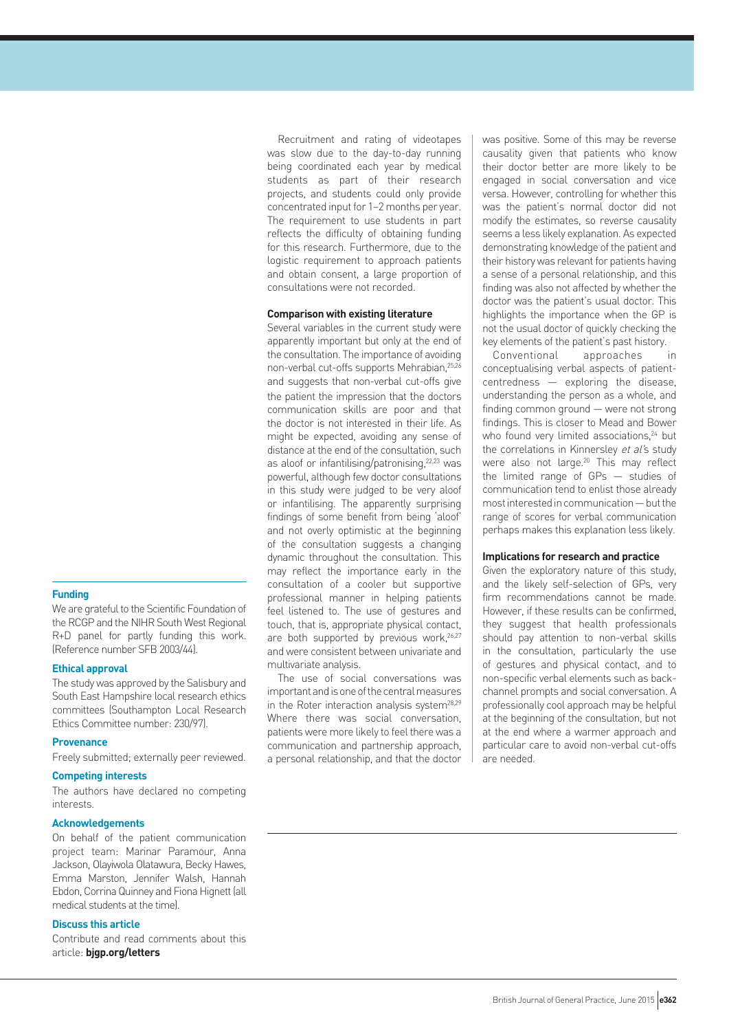#### **Funding**

We are grateful to the Scientific Foundation of the RCGP and the NIHR South West Regional R+D panel for partly funding this work. (Reference number SFB 2003/44).

### **Ethical approval**

The study was approved by the Salisbury and South East Hampshire local research ethics committees (Southampton Local Research Ethics Committee number: 230/97).

## **Provenance**

Freely submitted; externally peer reviewed.

#### **Competing interests**

The authors have declared no competing interests.

## **Acknowledgements**

On behalf of the patient communication project team: Marinar Paramour, Anna Jackson, Olayiwola Olatawura, Becky Hawes, Emma Marston, Jennifer Walsh, Hannah Ebdon, Corrina Quinney and Fiona Hignett (all medical students at the time).

## **Discuss this article**

Contribute and read comments about this article: **bjgp.org/letters**

Recruitment and rating of videotapes was slow due to the day-to-day running being coordinated each year by medical students as part of their research projects, and students could only provide concentrated input for 1–2 months per year. The requirement to use students in part reflects the difficulty of obtaining funding for this research. Furthermore, due to the logistic requirement to approach patients and obtain consent, a large proportion of consultations were not recorded.

## **Comparison with existing literature**

Several variables in the current study were apparently important but only at the end of the consultation. The importance of avoiding non-verbal cut-offs supports Mehrabian, 25,26 and suggests that non-verbal cut-offs give the patient the impression that the doctors communication skills are poor and that the doctor is not interested in their life. As might be expected, avoiding any sense of distance at the end of the consultation, such as aloof or infantilising/patronising,<sup>22,23</sup> was powerful, although few doctor consultations in this study were judged to be very aloof or infantilising. The apparently surprising findings of some benefit from being 'aloof' and not overly optimistic at the beginning of the consultation suggests a changing dynamic throughout the consultation. This may reflect the importance early in the consultation of a cooler but supportive professional manner in helping patients feel listened to. The use of gestures and touch, that is, appropriate physical contact, are both supported by previous work,<sup>26,27</sup> and were consistent between univariate and multivariate analysis.

The use of social conversations was important and is one of the central measures in the Roter interaction analysis system28,29 Where there was social conversation, patients were more likely to feel there was a communication and partnership approach, a personal relationship, and that the doctor was positive. Some of this may be reverse causality given that patients who know their doctor better are more likely to be engaged in social conversation and vice versa. However, controlling for whether this was the patient's normal doctor did not modify the estimates, so reverse causality seems a less likely explanation. As expected demonstrating knowledge of the patient and their history was relevant for patients having a sense of a personal relationship, and this finding was also not affected by whether the doctor was the patient's usual doctor. This highlights the importance when the GP is not the usual doctor of quickly checking the key elements of the patient's past history.

Conventional approaches conceptualising verbal aspects of patientcentredness — exploring the disease, understanding the person as a whole, and finding common ground — were not strong findings. This is closer to Mead and Bower who found very limited associations,<sup>24</sup> but the correlations in Kinnersley et al's study were also not large.<sup>20</sup> This may reflect the limited range of GPs — studies of communication tend to enlist those already most interested in communication — but the range of scores for verbal communication perhaps makes this explanation less likely.

## **Implications for research and practice**

Given the exploratory nature of this study, and the likely self-selection of GPs, very firm recommendations cannot be made. However, if these results can be confirmed, they suggest that health professionals should pay attention to non-verbal skills in the consultation, particularly the use of gestures and physical contact, and to non-specific verbal elements such as backchannel prompts and social conversation. A professionally cool approach may be helpful at the beginning of the consultation, but not at the end where a warmer approach and particular care to avoid non-verbal cut-offs are needed.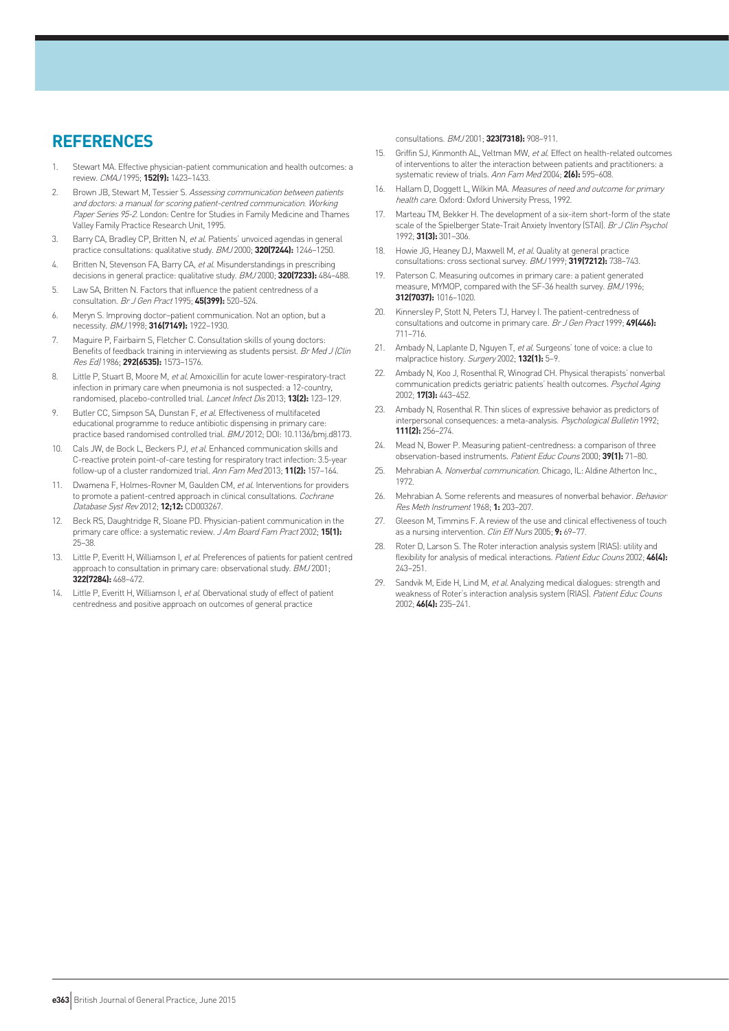## **REFERENCES**

- 1. Stewart MA. Effective physician-patient communication and health outcomes: a review. CMAJ 1995; **152(9):** 1423–1433.
- 2. Brown JB, Stewart M, Tessier S. Assessing communication between patients and doctors: a manual for scoring patient-centred communication. Working Paper Series 95-2. London: Centre for Studies in Family Medicine and Thames Valley Family Practice Research Unit, 1995.
- 3. Barry CA, Bradley CP, Britten N, et al. Patients' unvoiced agendas in general practice consultations: qualitative study. BMJ 2000; **320(7244):** 1246–1250.
- 4. Britten N, Stevenson FA, Barry CA, et al. Misunderstandings in prescribing decisions in general practice: qualitative study. BMJ 2000; **320(7233):** 484–488.
- 5. Law SA, Britten N. Factors that influence the patient centredness of a consultation. Br J Gen Pract 1995; **45(399):** 520–524.
- 6. Meryn S. Improving doctor–patient communication. Not an option, but a necessity. BMJ 1998; **316(7149):** 1922–1930.
- 7. Maguire P, Fairbairn S, Fletcher C. Consultation skills of young doctors: Benefits of feedback training in interviewing as students persist. Br Med J (Clin Res Ed) 1986; **292(6535):** 1573–1576.
- 8. Little P, Stuart B, Moore M, et al. Amoxicillin for acute lower-respiratory-tract infection in primary care when pneumonia is not suspected: a 12-country, randomised, placebo-controlled trial. Lancet Infect Dis 2013; **13(2):** 123–129.
- 9. Butler CC, Simpson SA, Dunstan F, et al. Effectiveness of multifaceted educational programme to reduce antibiotic dispensing in primary care: practice based randomised controlled trial. BMJ 2012; DOI: 10.1136/bmj.d8173.
- 10. Cals JW, de Bock L, Beckers PJ, et al. Enhanced communication skills and C-reactive protein point-of-care testing for respiratory tract infection: 3.5-year follow-up of a cluster randomized trial. Ann Fam Med 2013; **11(2):** 157–164.
- 11. Dwamena F, Holmes-Rovner M, Gaulden CM, et al. Interventions for providers to promote a patient-centred approach in clinical consultations. Cochrane Database Syst Rev 2012; **12;12:** CD003267.
- 12. Beck RS, Daughtridge R, Sloane PD. Physician-patient communication in the primary care office: a systematic review. J Am Board Fam Pract 2002; **15(1):**  25–38.
- 13. Little P, Everitt H, Williamson I, et al. Preferences of patients for patient centred approach to consultation in primary care: observational study. BMJ 2001: **322(7284):** 468–472.
- 14. Little P, Everitt H, Williamson I, et al. Obervational study of effect of patient centredness and positive approach on outcomes of general practice

consultations. BMJ 2001; **323(7318):** 908–911.

- 15. Griffin S.J. Kinmonth AL, Veltman MW, et al. Effect on health-related outcomes of interventions to alter the interaction between patients and practitioners: a systematic review of trials. Ann Fam Med 2004; **2(6):** 595–608.
- 16. Hallam D, Doggett L, Wilkin MA, Measures of need and outcome for primary health care. Oxford: Oxford University Press, 1992.
- 17. Marteau TM, Bekker H. The development of a six-item short-form of the state scale of the Spielberger State-Trait Anxiety Inventory (STAI). Br J Clin Psychol 1992; **31(3):** 301–306.
- 18. Howie JG, Heaney DJ, Maxwell M, et al. Quality at general practice consultations: cross sectional survey. BMJ 1999; **319(7212):** 738–743.
- 19. Paterson C. Measuring outcomes in primary care: a patient generated measure, MYMOP, compared with the SF-36 health survey. BMJ 1996; **312(7037):** 1016–1020.
- 20. Kinnersley P, Stott N, Peters TJ, Harvey I. The patient-centredness of consultations and outcome in primary care. Br J Gen Pract 1999; **49(446):**  711–716.
- 21. Ambady N, Laplante D, Nguyen T, et al. Surgeons' tone of voice: a clue to malpractice history. Surgery 2002; **132(1):** 5–9.
- 22. Ambady N, Koo J, Rosenthal R, Winograd CH. Physical therapists' nonverbal communication predicts geriatric patients' health outcomes. Psychol Aging 2002; **17(3):** 443–452.
- 23. Ambady N, Rosenthal R. Thin slices of expressive behavior as predictors of interpersonal consequences: a meta-analysis. Psychological Bulletin 1992; **111(2):** 256–274.
- Mead N, Bower P. Measuring patient-centredness: a comparison of three observation-based instruments. Patient Educ Couns 2000; **39(1):** 71–80.
- 25. Mehrabian A. Nonverbal communication. Chicago, IL: Aldine Atherton Inc., 1972.
- 26. Mehrabian A. Some referents and measures of nonverbal behavior. Behavior Res Meth Instrument 1968; **1:** 203–207.
- 27. Gleeson M, Timmins F. A review of the use and clinical effectiveness of touch as a nursing intervention. Clin Eff Nurs 2005; **9:** 69–77.
- 28. Roter D, Larson S. The Roter interaction analysis system (RIAS): utility and flexibility for analysis of medical interactions. Patient Educ Couns 2002; **46(4):**  243–251.
- 29. Sandvik M, Eide H, Lind M, et al. Analyzing medical dialogues: strength and weakness of Roter's interaction analysis system (RIAS). Patient Educ Couns 2002; **46(4):** 235–241.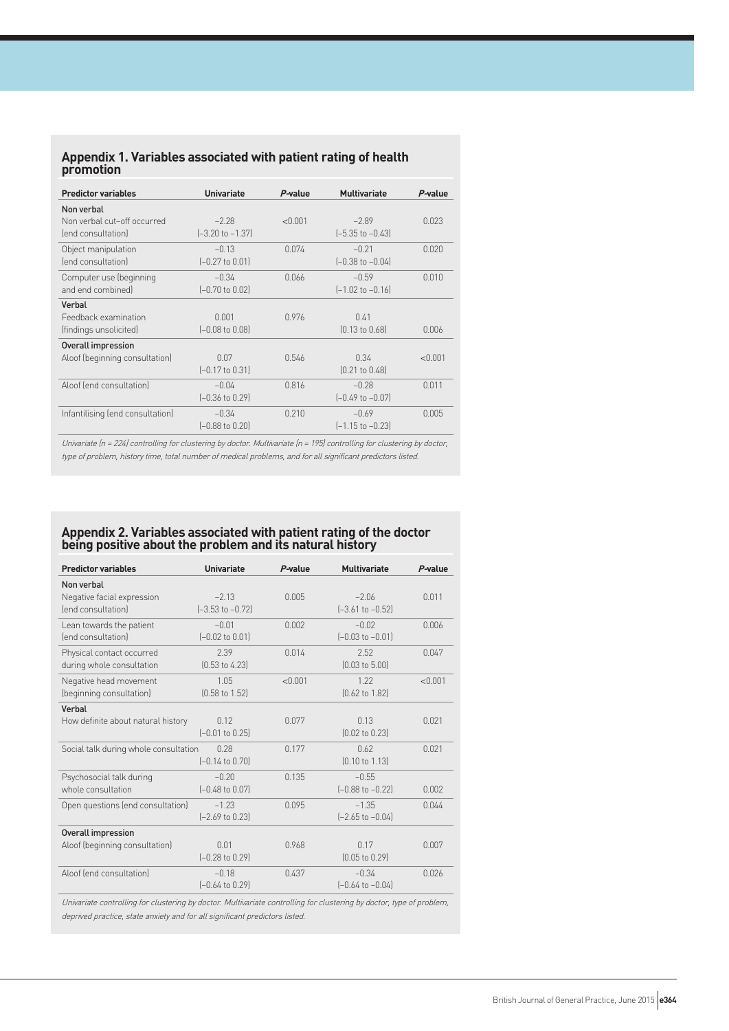## **Appendix 1. Variables associated with patient rating of health promotion**

| <b>Predictor variables</b>       | <b>Univariate</b>           | P-value | <b>Multivariate</b>         | P-value |
|----------------------------------|-----------------------------|---------|-----------------------------|---------|
| Non verbal                       |                             |         |                             |         |
| Non verbal cut-off occurred      | $-2.28$                     | < 0.001 | $-2.89$                     | 0.023   |
| lend consultation)               | $[-3.20 \text{ to } -1.37]$ |         | $[-5.35 \text{ to } -0.43]$ |         |
| Object manipulation              | $-0.13$                     | 0.074   | $-0.21$                     | 0.020   |
| lend consultation)               | $[-0.27 \text{ to } 0.01]$  |         | $[-0.38 \text{ to } -0.04]$ |         |
| Computer use (beginning          | $-0.34$                     | 0.066   | $-0.59$                     | 0.010   |
| and end combined                 | $[-0.70 \text{ to } 0.02]$  |         | $[-1.02 \text{ to } -0.16]$ |         |
| Verbal                           |                             |         |                             |         |
| Feedback examination             | 0.001                       | n 976   | 0.41                        |         |
| (findings unsolicited)           | $[-0.08 \text{ to } 0.08]$  |         | $[0.13 \text{ to } 0.68]$   | 0.006   |
| Overall impression               |                             |         |                             |         |
| Aloof (beginning consultation)   | 0.07                        | 0.546   | 0.34                        | < 0.001 |
|                                  | $[-0.17 \text{ to } 0.31]$  |         | [0.21 to 0.48]              |         |
| Aloof lend consultation          | $-0.04$                     | 0.816   | $-0.28$                     | 0.011   |
|                                  | $[-0.36 \text{ to } 0.29]$  |         | $[-0.49 \text{ to } -0.07]$ |         |
| Infantilising (end consultation) | $-0.34$                     | 0.210   | $-0.69$                     | 0.005   |
|                                  | $[-0.88 \text{ to } 0.20]$  |         | (-1.15 to -0.23)            |         |

Univariate (n = 224) controlling for clustering by doctor. Multivariate (n = 195) controlling for clustering by doctor, type of problem, history time, total number of medical problems, and for all significant predictors listed.

## **Appendix 2. Variables associated with patient rating of the doctor being positive about the problem and its natural history**

| <b>Predictor variables</b>            | <b>Univariate</b>          | P-value | <b>Multivariate</b>         | P-value |
|---------------------------------------|----------------------------|---------|-----------------------------|---------|
| Non verbal                            |                            |         |                             |         |
| Negative facial expression            | $-2.13$                    | 0.005   | $-2.06$                     | 0.011   |
| lend consultation)                    | $[-3.53$ to $-0.72]$       |         | $[-3.61$ to $-0.52]$        |         |
| Lean towards the patient              | $-0.01$                    | 0.002   | $-0.02$                     | 0.006   |
| lend consultation)                    | $[-0.02 \text{ to } 0.01]$ |         | $[-0.03 \text{ to } -0.01]$ |         |
| Physical contact occurred             | 2.39                       | 0.014   | 2.52                        | 0.047   |
| during whole consultation             | $[0.53$ to 4.23]           |         | $[0.03 \text{ to } 5.00]$   |         |
| Negative head movement                | 1.05                       | < 0.001 | 1.22                        | < 0.001 |
| (beginning consultation)              | $[0.58 \text{ to } 1.52]$  |         | [0.62 to 1.82]              |         |
| Verbal                                |                            |         |                             |         |
| How definite about natural history    | 0.12                       | 0.077   | 0.13                        | 0.021   |
|                                       | $[-0.01$ to $0.25]$        |         | $[0.02 \text{ to } 0.23]$   |         |
| Social talk during whole consultation | 0.28                       | 0.177   | 0.62                        | 0.021   |
|                                       | $[-0.14 \text{ to } 0.70]$ |         | $[0.10 \text{ to } 1.13]$   |         |
| Psychosocial talk during              | $-0.20$                    | 0.135   | $-0.55$                     |         |
| whole consultation                    | $[-0.48 \text{ to } 0.07]$ |         | $[-0.88 \text{ to } -0.22]$ | 0.002   |
| Open questions (end consultation)     | $-1.23$                    | 0.095   | $-1.35$                     | 0.044   |
|                                       | (-2.69 to 0.23)            |         | $[-2.65 \text{ to } -0.04]$ |         |
| Overall impression                    |                            |         |                             |         |
| Aloof (beginning consultation)        | 0.01                       | 0.968   | 0.17                        | 0.007   |
|                                       | $[-0.28 \text{ to } 0.29]$ |         | [0.05 to 0.29]              |         |
| Aloof (end consultation)              | $-0.18$                    | 0.437   | $-0.34$                     | 0.026   |
|                                       | $[-0.64 \text{ to } 0.29]$ |         | $[-0.64 \text{ to } -0.04]$ |         |

Univariate controlling for clustering by doctor. Multivariate controlling for clustering by doctor, type of problem, deprived practice, state anxiety and for all significant predictors listed.